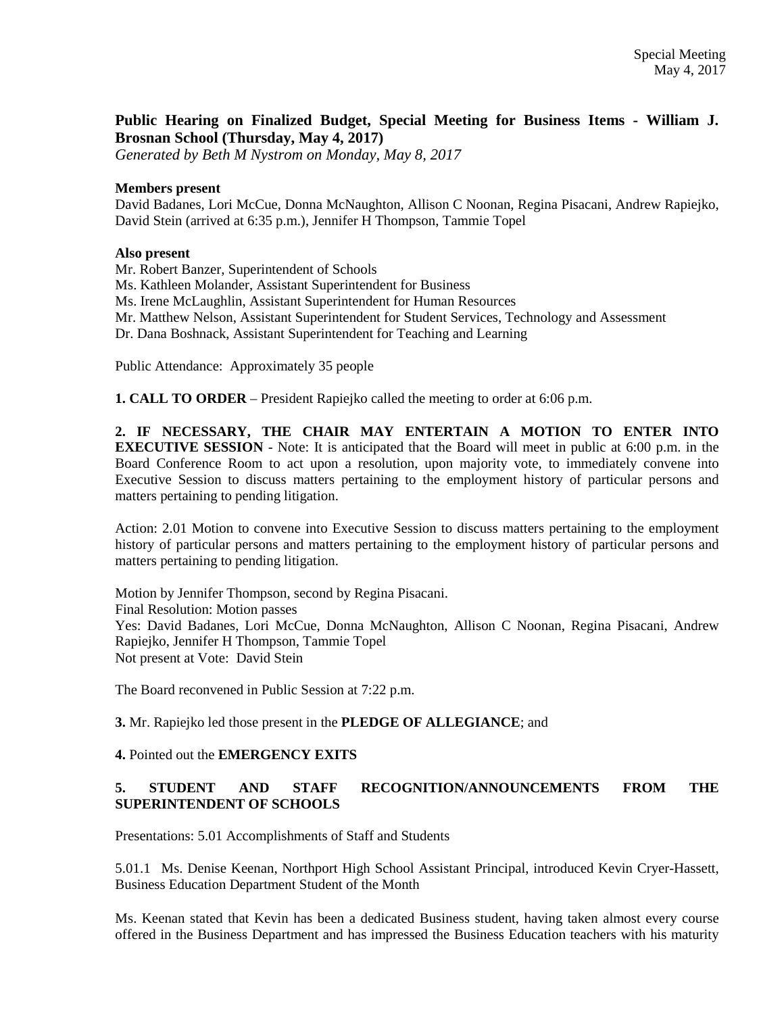# **Public Hearing on Finalized Budget, Special Meeting for Business Items - William J. Brosnan School (Thursday, May 4, 2017)**

*Generated by Beth M Nystrom on Monday, May 8, 2017*

#### **Members present**

David Badanes, Lori McCue, Donna McNaughton, Allison C Noonan, Regina Pisacani, Andrew Rapiejko, David Stein (arrived at 6:35 p.m.), Jennifer H Thompson, Tammie Topel

## **Also present**

Mr. Robert Banzer, Superintendent of Schools

Ms. Kathleen Molander, Assistant Superintendent for Business

Ms. Irene McLaughlin, Assistant Superintendent for Human Resources

Mr. Matthew Nelson, Assistant Superintendent for Student Services, Technology and Assessment

Dr. Dana Boshnack, Assistant Superintendent for Teaching and Learning

Public Attendance: Approximately 35 people

**1. CALL TO ORDER** – President Rapiejko called the meeting to order at 6:06 p.m.

**2. IF NECESSARY, THE CHAIR MAY ENTERTAIN A MOTION TO ENTER INTO EXECUTIVE SESSION** - Note: It is anticipated that the Board will meet in public at 6:00 p.m. in the Board Conference Room to act upon a resolution, upon majority vote, to immediately convene into Executive Session to discuss matters pertaining to the employment history of particular persons and matters pertaining to pending litigation.

Action: 2.01 Motion to convene into Executive Session to discuss matters pertaining to the employment history of particular persons and matters pertaining to the employment history of particular persons and matters pertaining to pending litigation.

Motion by Jennifer Thompson, second by Regina Pisacani. Final Resolution: Motion passes Yes: David Badanes, Lori McCue, Donna McNaughton, Allison C Noonan, Regina Pisacani, Andrew Rapiejko, Jennifer H Thompson, Tammie Topel Not present at Vote: David Stein

The Board reconvened in Public Session at 7:22 p.m.

**3.** Mr. Rapiejko led those present in the **PLEDGE OF ALLEGIANCE**; and

## **4.** Pointed out the **EMERGENCY EXITS**

## **5. STUDENT AND STAFF RECOGNITION/ANNOUNCEMENTS FROM THE SUPERINTENDENT OF SCHOOLS**

Presentations: 5.01 Accomplishments of Staff and Students

5.01.1 Ms. Denise Keenan, Northport High School Assistant Principal, introduced Kevin Cryer-Hassett, Business Education Department Student of the Month

Ms. Keenan stated that Kevin has been a dedicated Business student, having taken almost every course offered in the Business Department and has impressed the Business Education teachers with his maturity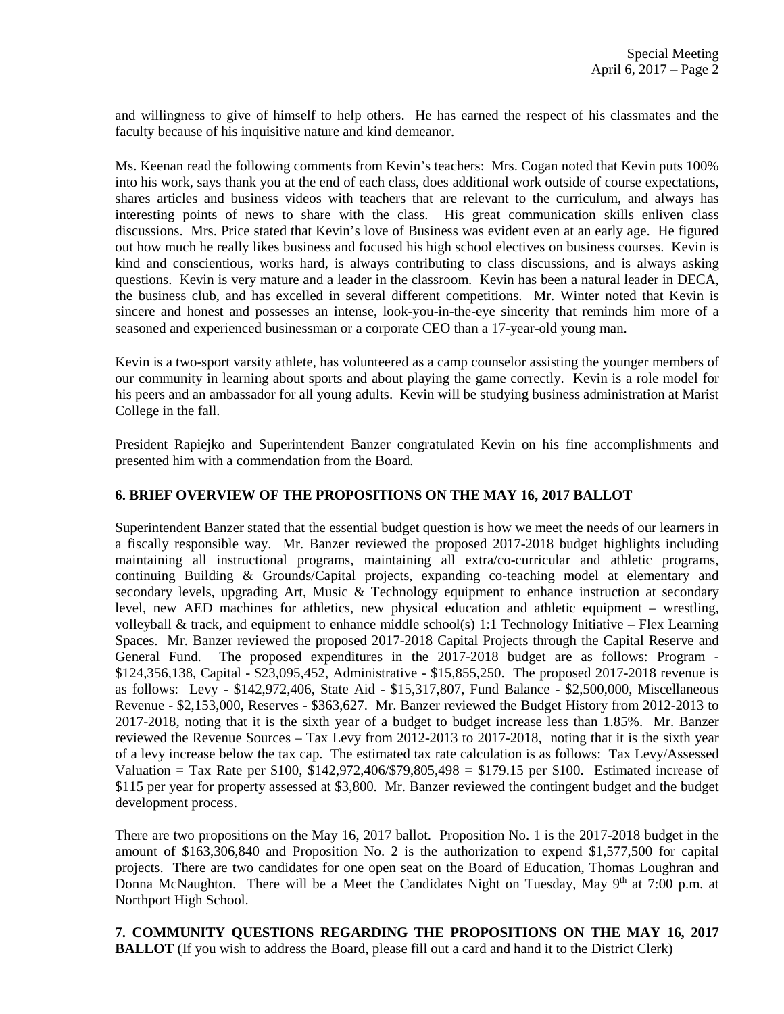and willingness to give of himself to help others. He has earned the respect of his classmates and the faculty because of his inquisitive nature and kind demeanor.

Ms. Keenan read the following comments from Kevin's teachers: Mrs. Cogan noted that Kevin puts 100% into his work, says thank you at the end of each class, does additional work outside of course expectations, shares articles and business videos with teachers that are relevant to the curriculum, and always has interesting points of news to share with the class. His great communication skills enliven class discussions. Mrs. Price stated that Kevin's love of Business was evident even at an early age. He figured out how much he really likes business and focused his high school electives on business courses. Kevin is kind and conscientious, works hard, is always contributing to class discussions, and is always asking questions. Kevin is very mature and a leader in the classroom. Kevin has been a natural leader in DECA, the business club, and has excelled in several different competitions. Mr. Winter noted that Kevin is sincere and honest and possesses an intense, look-you-in-the-eye sincerity that reminds him more of a seasoned and experienced businessman or a corporate CEO than a 17-year-old young man.

Kevin is a two-sport varsity athlete, has volunteered as a camp counselor assisting the younger members of our community in learning about sports and about playing the game correctly. Kevin is a role model for his peers and an ambassador for all young adults. Kevin will be studying business administration at Marist College in the fall.

President Rapiejko and Superintendent Banzer congratulated Kevin on his fine accomplishments and presented him with a commendation from the Board.

#### **6. BRIEF OVERVIEW OF THE PROPOSITIONS ON THE MAY 16, 2017 BALLOT**

Superintendent Banzer stated that the essential budget question is how we meet the needs of our learners in a fiscally responsible way. Mr. Banzer reviewed the proposed 2017-2018 budget highlights including maintaining all instructional programs, maintaining all extra/co-curricular and athletic programs, continuing Building & Grounds/Capital projects, expanding co-teaching model at elementary and secondary levels, upgrading Art, Music & Technology equipment to enhance instruction at secondary level, new AED machines for athletics, new physical education and athletic equipment – wrestling, volleyball & track, and equipment to enhance middle school(s) 1:1 Technology Initiative – Flex Learning Spaces. Mr. Banzer reviewed the proposed 2017-2018 Capital Projects through the Capital Reserve and General Fund. The proposed expenditures in the 2017-2018 budget are as follows: Program - \$124,356,138, Capital - \$23,095,452, Administrative - \$15,855,250. The proposed 2017-2018 revenue is as follows: Levy - \$142,972,406, State Aid - \$15,317,807, Fund Balance - \$2,500,000, Miscellaneous Revenue - \$2,153,000, Reserves - \$363,627. Mr. Banzer reviewed the Budget History from 2012-2013 to 2017-2018, noting that it is the sixth year of a budget to budget increase less than 1.85%. Mr. Banzer reviewed the Revenue Sources – Tax Levy from 2012-2013 to 2017-2018, noting that it is the sixth year of a levy increase below the tax cap. The estimated tax rate calculation is as follows: Tax Levy/Assessed Valuation = Tax Rate per \$100, \$142,972,406/\$79,805,498 = \$179.15 per \$100. Estimated increase of \$115 per year for property assessed at \$3,800. Mr. Banzer reviewed the contingent budget and the budget development process.

There are two propositions on the May 16, 2017 ballot. Proposition No. 1 is the 2017-2018 budget in the amount of \$163,306,840 and Proposition No. 2 is the authorization to expend \$1,577,500 for capital projects. There are two candidates for one open seat on the Board of Education, Thomas Loughran and Donna McNaughton. There will be a Meet the Candidates Night on Tuesday, May  $9<sup>th</sup>$  at 7:00 p.m. at Northport High School.

**7. COMMUNITY QUESTIONS REGARDING THE PROPOSITIONS ON THE MAY 16, 2017 BALLOT** (If you wish to address the Board, please fill out a card and hand it to the District Clerk)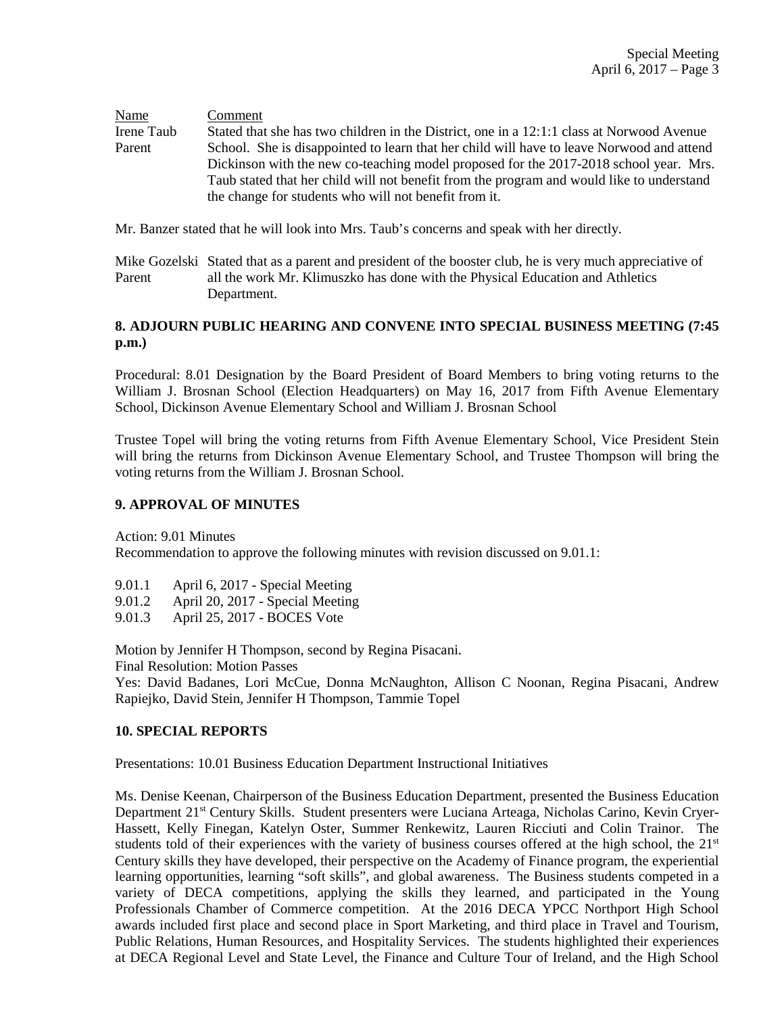Name Comment Irene Taub Stated that she has two children in the District, one in a 12:1:1 class at Norwood Avenue Parent School. She is disappointed to learn that her child will have to leave Norwood and attend Dickinson with the new co-teaching model proposed for the 2017-2018 school year. Mrs. Taub stated that her child will not benefit from the program and would like to understand the change for students who will not benefit from it.

Mr. Banzer stated that he will look into Mrs. Taub's concerns and speak with her directly.

Mike Gozelski Stated that as a parent and president of the booster club, he is very much appreciative of Parent all the work Mr. Klimuszko has done with the Physical Education and Athletics Department.

## **8. ADJOURN PUBLIC HEARING AND CONVENE INTO SPECIAL BUSINESS MEETING (7:45 p.m.)**

Procedural: 8.01 Designation by the Board President of Board Members to bring voting returns to the William J. Brosnan School (Election Headquarters) on May 16, 2017 from Fifth Avenue Elementary School, Dickinson Avenue Elementary School and William J. Brosnan School

Trustee Topel will bring the voting returns from Fifth Avenue Elementary School, Vice President Stein will bring the returns from Dickinson Avenue Elementary School, and Trustee Thompson will bring the voting returns from the William J. Brosnan School.

## **9. APPROVAL OF MINUTES**

Action: 9.01 Minutes

Recommendation to approve the following minutes with revision discussed on 9.01.1:

- 9.01.1 April 6, 2017 Special Meeting
- 9.01.2 April 20, 2017 Special Meeting
- 9.01.3 April 25, 2017 BOCES Vote

Motion by Jennifer H Thompson, second by Regina Pisacani. Final Resolution: Motion Passes

Yes: David Badanes, Lori McCue, Donna McNaughton, Allison C Noonan, Regina Pisacani, Andrew Rapiejko, David Stein, Jennifer H Thompson, Tammie Topel

## **10. SPECIAL REPORTS**

Presentations: 10.01 Business Education Department Instructional Initiatives

Ms. Denise Keenan, Chairperson of the Business Education Department, presented the Business Education Department 21st Century Skills. Student presenters were Luciana Arteaga, Nicholas Carino, Kevin Cryer-Hassett, Kelly Finegan, Katelyn Oster, Summer Renkewitz, Lauren Ricciuti and Colin Trainor. The students told of their experiences with the variety of business courses offered at the high school, the  $21<sup>st</sup>$ Century skills they have developed, their perspective on the Academy of Finance program, the experiential learning opportunities, learning "soft skills", and global awareness. The Business students competed in a variety of DECA competitions, applying the skills they learned, and participated in the Young Professionals Chamber of Commerce competition. At the 2016 DECA YPCC Northport High School awards included first place and second place in Sport Marketing, and third place in Travel and Tourism, Public Relations, Human Resources, and Hospitality Services. The students highlighted their experiences at DECA Regional Level and State Level, the Finance and Culture Tour of Ireland, and the High School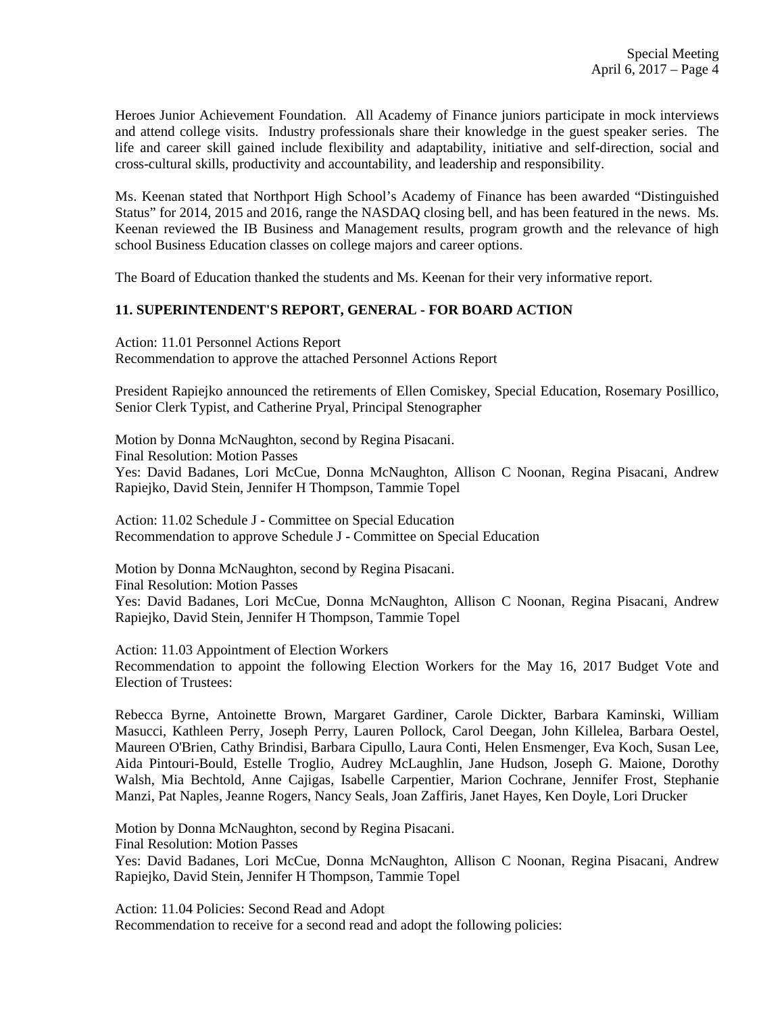Heroes Junior Achievement Foundation. All Academy of Finance juniors participate in mock interviews and attend college visits. Industry professionals share their knowledge in the guest speaker series. The life and career skill gained include flexibility and adaptability, initiative and self-direction, social and cross-cultural skills, productivity and accountability, and leadership and responsibility.

Ms. Keenan stated that Northport High School's Academy of Finance has been awarded "Distinguished Status" for 2014, 2015 and 2016, range the NASDAQ closing bell, and has been featured in the news. Ms. Keenan reviewed the IB Business and Management results, program growth and the relevance of high school Business Education classes on college majors and career options.

The Board of Education thanked the students and Ms. Keenan for their very informative report.

## **11. SUPERINTENDENT'S REPORT, GENERAL - FOR BOARD ACTION**

Action: 11.01 Personnel Actions Report Recommendation to approve the attached Personnel Actions Report

President Rapiejko announced the retirements of Ellen Comiskey, Special Education, Rosemary Posillico, Senior Clerk Typist, and Catherine Pryal, Principal Stenographer

Motion by Donna McNaughton, second by Regina Pisacani. Final Resolution: Motion Passes Yes: David Badanes, Lori McCue, Donna McNaughton, Allison C Noonan, Regina Pisacani, Andrew Rapiejko, David Stein, Jennifer H Thompson, Tammie Topel

Action: 11.02 Schedule J - Committee on Special Education Recommendation to approve Schedule J - Committee on Special Education

Motion by Donna McNaughton, second by Regina Pisacani. Final Resolution: Motion Passes Yes: David Badanes, Lori McCue, Donna McNaughton, Allison C Noonan, Regina Pisacani, Andrew Rapiejko, David Stein, Jennifer H Thompson, Tammie Topel

Action: 11.03 Appointment of Election Workers Recommendation to appoint the following Election Workers for the May 16, 2017 Budget Vote and Election of Trustees:

Rebecca Byrne, Antoinette Brown, Margaret Gardiner, Carole Dickter, Barbara Kaminski, William Masucci, Kathleen Perry, Joseph Perry, Lauren Pollock, Carol Deegan, John Killelea, Barbara Oestel, Maureen O'Brien, Cathy Brindisi, Barbara Cipullo, Laura Conti, Helen Ensmenger, Eva Koch, Susan Lee, Aida Pintouri-Bould, Estelle Troglio, Audrey McLaughlin, Jane Hudson, Joseph G. Maione, Dorothy Walsh, Mia Bechtold, Anne Cajigas, Isabelle Carpentier, Marion Cochrane, Jennifer Frost, Stephanie Manzi, Pat Naples, Jeanne Rogers, Nancy Seals, Joan Zaffiris, Janet Hayes, Ken Doyle, Lori Drucker

Motion by Donna McNaughton, second by Regina Pisacani.

Final Resolution: Motion Passes

Yes: David Badanes, Lori McCue, Donna McNaughton, Allison C Noonan, Regina Pisacani, Andrew Rapiejko, David Stein, Jennifer H Thompson, Tammie Topel

Action: 11.04 Policies: Second Read and Adopt Recommendation to receive for a second read and adopt the following policies: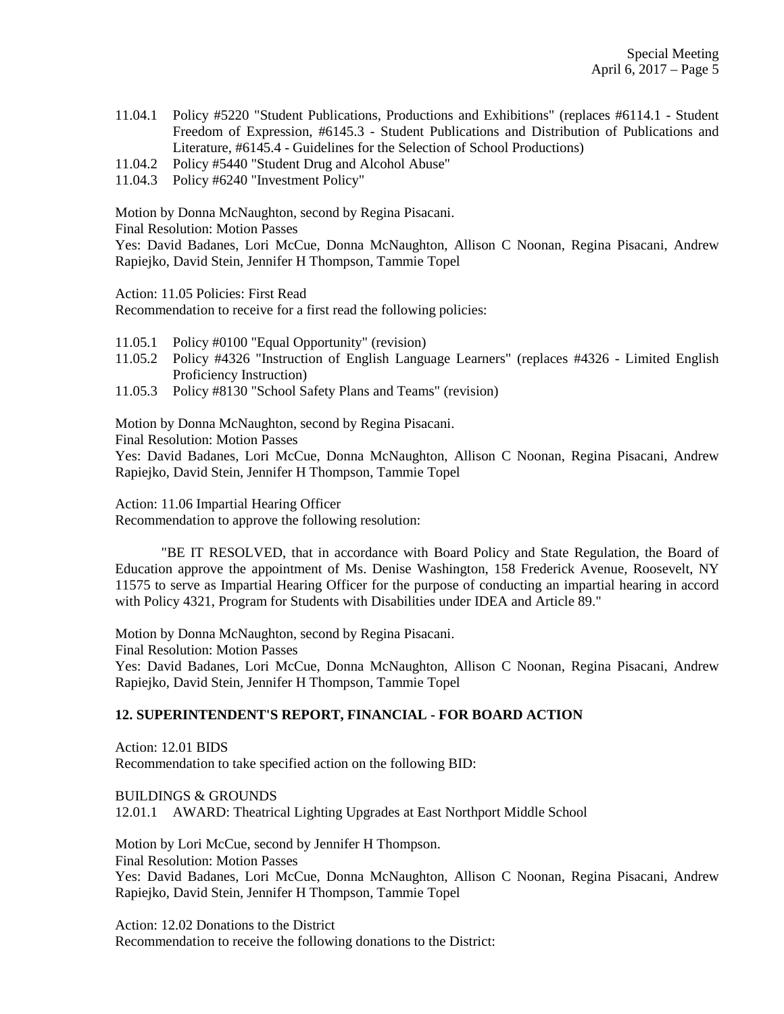- 11.04.1 Policy #5220 "Student Publications, Productions and Exhibitions" (replaces #6114.1 Student Freedom of Expression, #6145.3 - Student Publications and Distribution of Publications and Literature, #6145.4 - Guidelines for the Selection of School Productions)
- 11.04.2 Policy #5440 "Student Drug and Alcohol Abuse"
- 11.04.3 Policy #6240 "Investment Policy"

Motion by Donna McNaughton, second by Regina Pisacani.

Final Resolution: Motion Passes

Yes: David Badanes, Lori McCue, Donna McNaughton, Allison C Noonan, Regina Pisacani, Andrew Rapiejko, David Stein, Jennifer H Thompson, Tammie Topel

Action: 11.05 Policies: First Read

Recommendation to receive for a first read the following policies:

- 11.05.1 Policy #0100 "Equal Opportunity" (revision)
- 11.05.2 Policy #4326 "Instruction of English Language Learners" (replaces #4326 Limited English Proficiency Instruction)
- 11.05.3 Policy #8130 "School Safety Plans and Teams" (revision)

Motion by Donna McNaughton, second by Regina Pisacani.

Final Resolution: Motion Passes

Yes: David Badanes, Lori McCue, Donna McNaughton, Allison C Noonan, Regina Pisacani, Andrew Rapiejko, David Stein, Jennifer H Thompson, Tammie Topel

Action: 11.06 Impartial Hearing Officer

Recommendation to approve the following resolution:

"BE IT RESOLVED, that in accordance with Board Policy and State Regulation, the Board of Education approve the appointment of Ms. Denise Washington, 158 Frederick Avenue, Roosevelt, NY 11575 to serve as Impartial Hearing Officer for the purpose of conducting an impartial hearing in accord with Policy 4321, Program for Students with Disabilities under IDEA and Article 89."

Motion by Donna McNaughton, second by Regina Pisacani. Final Resolution: Motion Passes

Yes: David Badanes, Lori McCue, Donna McNaughton, Allison C Noonan, Regina Pisacani, Andrew Rapiejko, David Stein, Jennifer H Thompson, Tammie Topel

## **12. SUPERINTENDENT'S REPORT, FINANCIAL - FOR BOARD ACTION**

Action: 12.01 BIDS Recommendation to take specified action on the following BID:

BUILDINGS & GROUNDS 12.01.1 AWARD: Theatrical Lighting Upgrades at East Northport Middle School

Motion by Lori McCue, second by Jennifer H Thompson. Final Resolution: Motion Passes Yes: David Badanes, Lori McCue, Donna McNaughton, Allison C Noonan, Regina Pisacani, Andrew Rapiejko, David Stein, Jennifer H Thompson, Tammie Topel

Action: 12.02 Donations to the District Recommendation to receive the following donations to the District: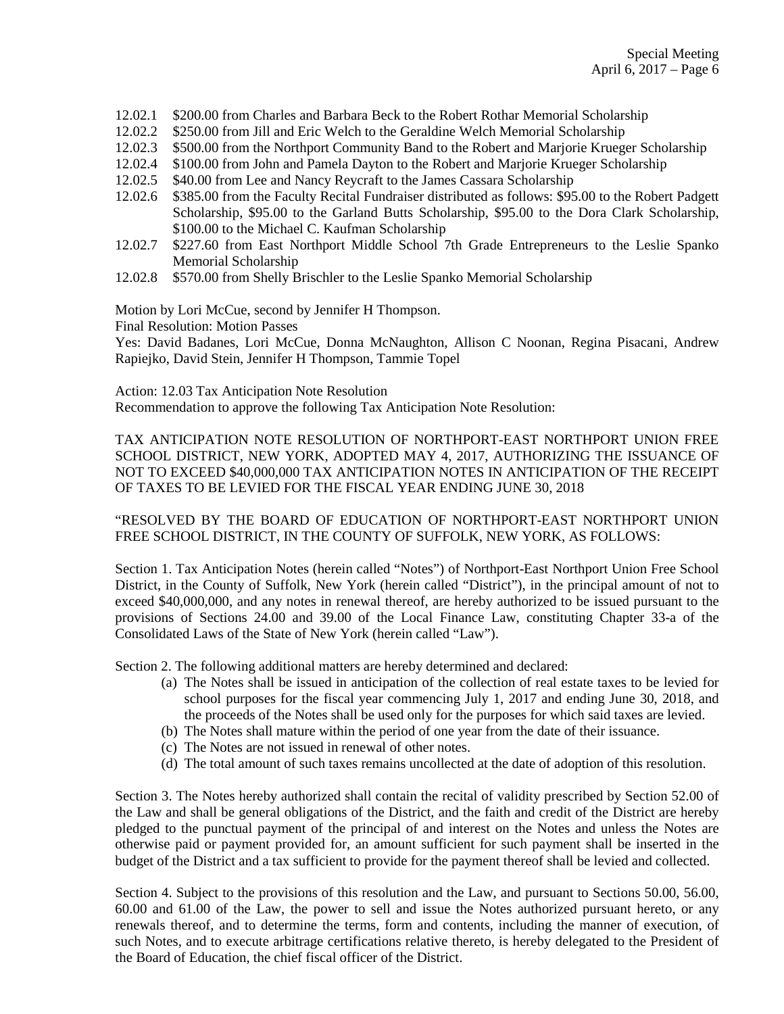- 12.02.1 \$200.00 from Charles and Barbara Beck to the Robert Rothar Memorial Scholarship
- 12.02.2 \$250.00 from Jill and Eric Welch to the Geraldine Welch Memorial Scholarship
- 12.02.3 \$500.00 from the Northport Community Band to the Robert and Marjorie Krueger Scholarship
- 12.02.4 \$100.00 from John and Pamela Dayton to the Robert and Marjorie Krueger Scholarship
- 12.02.5 \$40.00 from Lee and Nancy Reycraft to the James Cassara Scholarship
- 12.02.6 \$385.00 from the Faculty Recital Fundraiser distributed as follows: \$95.00 to the Robert Padgett Scholarship, \$95.00 to the Garland Butts Scholarship, \$95.00 to the Dora Clark Scholarship, \$100.00 to the Michael C. Kaufman Scholarship
- 12.02.7 \$227.60 from East Northport Middle School 7th Grade Entrepreneurs to the Leslie Spanko Memorial Scholarship
- 12.02.8 \$570.00 from Shelly Brischler to the Leslie Spanko Memorial Scholarship

Motion by Lori McCue, second by Jennifer H Thompson.

Final Resolution: Motion Passes

Yes: David Badanes, Lori McCue, Donna McNaughton, Allison C Noonan, Regina Pisacani, Andrew Rapiejko, David Stein, Jennifer H Thompson, Tammie Topel

Action: 12.03 Tax Anticipation Note Resolution

Recommendation to approve the following Tax Anticipation Note Resolution:

TAX ANTICIPATION NOTE RESOLUTION OF NORTHPORT-EAST NORTHPORT UNION FREE SCHOOL DISTRICT, NEW YORK, ADOPTED MAY 4, 2017, AUTHORIZING THE ISSUANCE OF NOT TO EXCEED \$40,000,000 TAX ANTICIPATION NOTES IN ANTICIPATION OF THE RECEIPT OF TAXES TO BE LEVIED FOR THE FISCAL YEAR ENDING JUNE 30, 2018

"RESOLVED BY THE BOARD OF EDUCATION OF NORTHPORT-EAST NORTHPORT UNION FREE SCHOOL DISTRICT, IN THE COUNTY OF SUFFOLK, NEW YORK, AS FOLLOWS:

Section 1. Tax Anticipation Notes (herein called "Notes") of Northport-East Northport Union Free School District, in the County of Suffolk, New York (herein called "District"), in the principal amount of not to exceed \$40,000,000, and any notes in renewal thereof, are hereby authorized to be issued pursuant to the provisions of Sections 24.00 and 39.00 of the Local Finance Law, constituting Chapter 33-a of the Consolidated Laws of the State of New York (herein called "Law").

Section 2. The following additional matters are hereby determined and declared:

- (a) The Notes shall be issued in anticipation of the collection of real estate taxes to be levied for school purposes for the fiscal year commencing July 1, 2017 and ending June 30, 2018, and the proceeds of the Notes shall be used only for the purposes for which said taxes are levied.
- (b) The Notes shall mature within the period of one year from the date of their issuance.
- (c) The Notes are not issued in renewal of other notes.
- (d) The total amount of such taxes remains uncollected at the date of adoption of this resolution.

Section 3. The Notes hereby authorized shall contain the recital of validity prescribed by Section 52.00 of the Law and shall be general obligations of the District, and the faith and credit of the District are hereby pledged to the punctual payment of the principal of and interest on the Notes and unless the Notes are otherwise paid or payment provided for, an amount sufficient for such payment shall be inserted in the budget of the District and a tax sufficient to provide for the payment thereof shall be levied and collected.

Section 4. Subject to the provisions of this resolution and the Law, and pursuant to Sections 50.00, 56.00, 60.00 and 61.00 of the Law, the power to sell and issue the Notes authorized pursuant hereto, or any renewals thereof, and to determine the terms, form and contents, including the manner of execution, of such Notes, and to execute arbitrage certifications relative thereto, is hereby delegated to the President of the Board of Education, the chief fiscal officer of the District.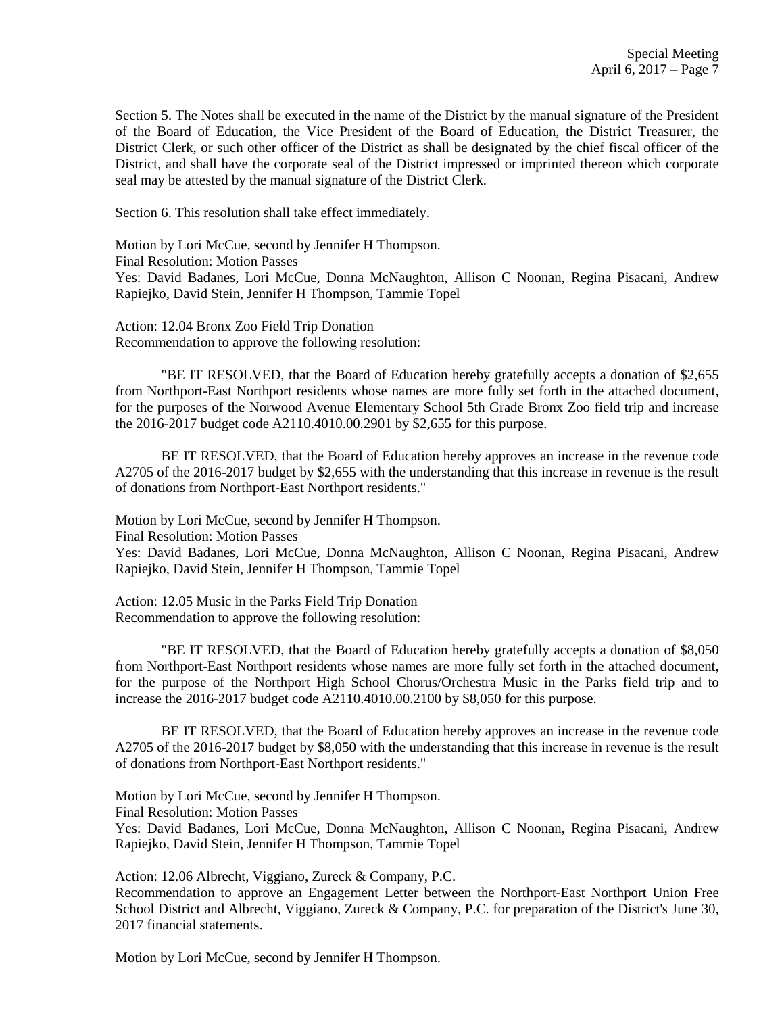Section 5. The Notes shall be executed in the name of the District by the manual signature of the President of the Board of Education, the Vice President of the Board of Education, the District Treasurer, the District Clerk, or such other officer of the District as shall be designated by the chief fiscal officer of the District, and shall have the corporate seal of the District impressed or imprinted thereon which corporate seal may be attested by the manual signature of the District Clerk.

Section 6. This resolution shall take effect immediately.

Motion by Lori McCue, second by Jennifer H Thompson.

Final Resolution: Motion Passes

Yes: David Badanes, Lori McCue, Donna McNaughton, Allison C Noonan, Regina Pisacani, Andrew Rapiejko, David Stein, Jennifer H Thompson, Tammie Topel

Action: 12.04 Bronx Zoo Field Trip Donation Recommendation to approve the following resolution:

"BE IT RESOLVED, that the Board of Education hereby gratefully accepts a donation of \$2,655 from Northport-East Northport residents whose names are more fully set forth in the attached document, for the purposes of the Norwood Avenue Elementary School 5th Grade Bronx Zoo field trip and increase the 2016-2017 budget code A2110.4010.00.2901 by \$2,655 for this purpose.

BE IT RESOLVED, that the Board of Education hereby approves an increase in the revenue code A2705 of the 2016-2017 budget by \$2,655 with the understanding that this increase in revenue is the result of donations from Northport-East Northport residents."

Motion by Lori McCue, second by Jennifer H Thompson.

Final Resolution: Motion Passes

Yes: David Badanes, Lori McCue, Donna McNaughton, Allison C Noonan, Regina Pisacani, Andrew Rapiejko, David Stein, Jennifer H Thompson, Tammie Topel

Action: 12.05 Music in the Parks Field Trip Donation Recommendation to approve the following resolution:

"BE IT RESOLVED, that the Board of Education hereby gratefully accepts a donation of \$8,050 from Northport-East Northport residents whose names are more fully set forth in the attached document, for the purpose of the Northport High School Chorus/Orchestra Music in the Parks field trip and to increase the 2016-2017 budget code A2110.4010.00.2100 by \$8,050 for this purpose.

BE IT RESOLVED, that the Board of Education hereby approves an increase in the revenue code A2705 of the 2016-2017 budget by \$8,050 with the understanding that this increase in revenue is the result of donations from Northport-East Northport residents."

Motion by Lori McCue, second by Jennifer H Thompson.

Final Resolution: Motion Passes

Yes: David Badanes, Lori McCue, Donna McNaughton, Allison C Noonan, Regina Pisacani, Andrew Rapiejko, David Stein, Jennifer H Thompson, Tammie Topel

Action: 12.06 Albrecht, Viggiano, Zureck & Company, P.C.

Recommendation to approve an Engagement Letter between the Northport-East Northport Union Free School District and Albrecht, Viggiano, Zureck & Company, P.C. for preparation of the District's June 30, 2017 financial statements.

Motion by Lori McCue, second by Jennifer H Thompson.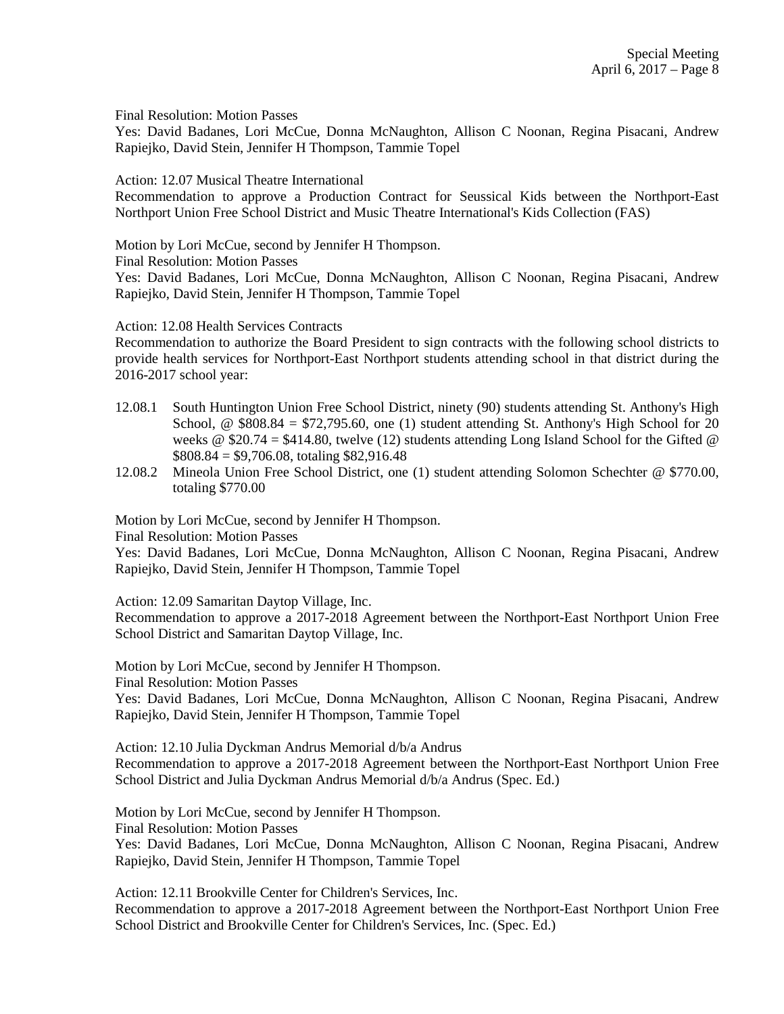Final Resolution: Motion Passes

Yes: David Badanes, Lori McCue, Donna McNaughton, Allison C Noonan, Regina Pisacani, Andrew Rapiejko, David Stein, Jennifer H Thompson, Tammie Topel

Action: 12.07 Musical Theatre International

Recommendation to approve a Production Contract for Seussical Kids between the Northport-East Northport Union Free School District and Music Theatre International's Kids Collection (FAS)

Motion by Lori McCue, second by Jennifer H Thompson.

Final Resolution: Motion Passes

Yes: David Badanes, Lori McCue, Donna McNaughton, Allison C Noonan, Regina Pisacani, Andrew Rapiejko, David Stein, Jennifer H Thompson, Tammie Topel

Action: 12.08 Health Services Contracts

Recommendation to authorize the Board President to sign contracts with the following school districts to provide health services for Northport-East Northport students attending school in that district during the 2016-2017 school year:

- 12.08.1 South Huntington Union Free School District, ninety (90) students attending St. Anthony's High School,  $\textcircled{ }$  \$808.84 = \$72,795.60, one (1) student attending St. Anthony's High School for 20 weeks @  $$20.74 = $414.80$ , twelve (12) students attending Long Island School for the Gifted @  $$808.84 = $9,706.08$ , totaling \$82,916.48
- 12.08.2 Mineola Union Free School District, one (1) student attending Solomon Schechter @ \$770.00, totaling \$770.00

Motion by Lori McCue, second by Jennifer H Thompson.

Final Resolution: Motion Passes

Yes: David Badanes, Lori McCue, Donna McNaughton, Allison C Noonan, Regina Pisacani, Andrew Rapiejko, David Stein, Jennifer H Thompson, Tammie Topel

Action: 12.09 Samaritan Daytop Village, Inc.

Recommendation to approve a 2017-2018 Agreement between the Northport-East Northport Union Free School District and Samaritan Daytop Village, Inc.

Motion by Lori McCue, second by Jennifer H Thompson.

Final Resolution: Motion Passes

Yes: David Badanes, Lori McCue, Donna McNaughton, Allison C Noonan, Regina Pisacani, Andrew Rapiejko, David Stein, Jennifer H Thompson, Tammie Topel

Action: 12.10 Julia Dyckman Andrus Memorial d/b/a Andrus Recommendation to approve a 2017-2018 Agreement between the Northport-East Northport Union Free School District and Julia Dyckman Andrus Memorial d/b/a Andrus (Spec. Ed.)

Motion by Lori McCue, second by Jennifer H Thompson.

Final Resolution: Motion Passes

Yes: David Badanes, Lori McCue, Donna McNaughton, Allison C Noonan, Regina Pisacani, Andrew Rapiejko, David Stein, Jennifer H Thompson, Tammie Topel

Action: 12.11 Brookville Center for Children's Services, Inc.

Recommendation to approve a 2017-2018 Agreement between the Northport-East Northport Union Free School District and Brookville Center for Children's Services, Inc. (Spec. Ed.)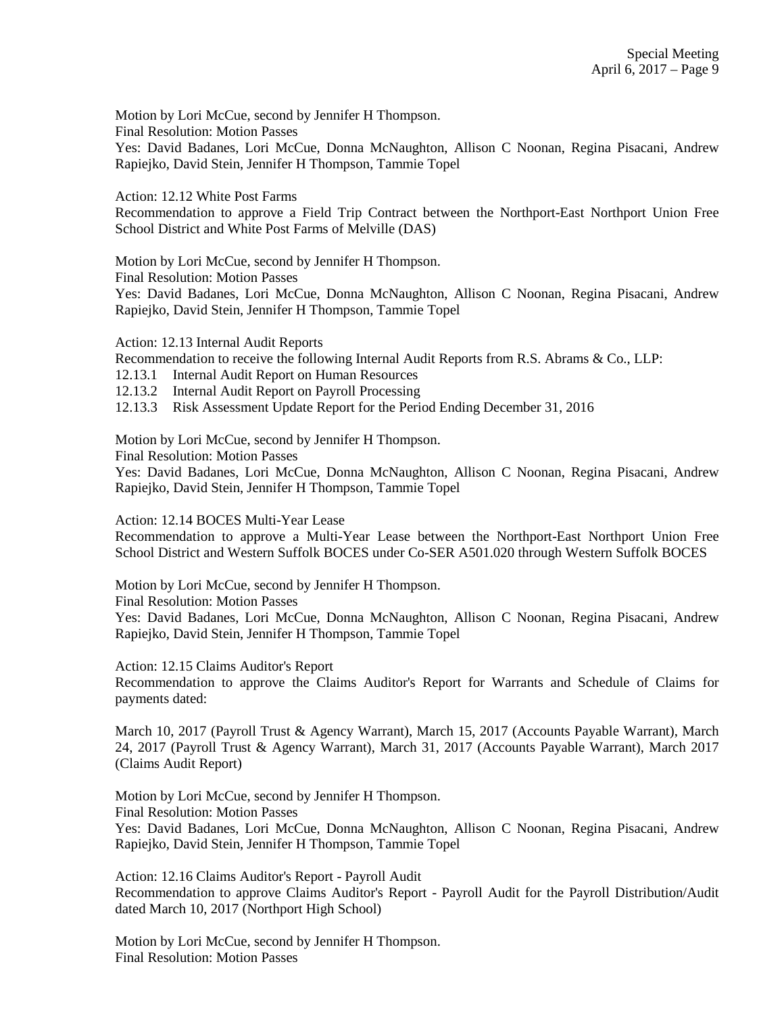Motion by Lori McCue, second by Jennifer H Thompson.

Final Resolution: Motion Passes

Yes: David Badanes, Lori McCue, Donna McNaughton, Allison C Noonan, Regina Pisacani, Andrew Rapiejko, David Stein, Jennifer H Thompson, Tammie Topel

Action: 12.12 White Post Farms

Recommendation to approve a Field Trip Contract between the Northport-East Northport Union Free School District and White Post Farms of Melville (DAS)

Motion by Lori McCue, second by Jennifer H Thompson.

Final Resolution: Motion Passes

Yes: David Badanes, Lori McCue, Donna McNaughton, Allison C Noonan, Regina Pisacani, Andrew Rapiejko, David Stein, Jennifer H Thompson, Tammie Topel

Action: 12.13 Internal Audit Reports

Recommendation to receive the following Internal Audit Reports from R.S. Abrams & Co., LLP:

12.13.1 Internal Audit Report on Human Resources

12.13.2 Internal Audit Report on Payroll Processing

12.13.3 Risk Assessment Update Report for the Period Ending December 31, 2016

Motion by Lori McCue, second by Jennifer H Thompson.

Final Resolution: Motion Passes

Yes: David Badanes, Lori McCue, Donna McNaughton, Allison C Noonan, Regina Pisacani, Andrew Rapiejko, David Stein, Jennifer H Thompson, Tammie Topel

Action: 12.14 BOCES Multi-Year Lease

Recommendation to approve a Multi-Year Lease between the Northport-East Northport Union Free School District and Western Suffolk BOCES under Co-SER A501.020 through Western Suffolk BOCES

Motion by Lori McCue, second by Jennifer H Thompson.

Final Resolution: Motion Passes

Yes: David Badanes, Lori McCue, Donna McNaughton, Allison C Noonan, Regina Pisacani, Andrew Rapiejko, David Stein, Jennifer H Thompson, Tammie Topel

Action: 12.15 Claims Auditor's Report

Recommendation to approve the Claims Auditor's Report for Warrants and Schedule of Claims for payments dated:

March 10, 2017 (Payroll Trust & Agency Warrant), March 15, 2017 (Accounts Payable Warrant), March 24, 2017 (Payroll Trust & Agency Warrant), March 31, 2017 (Accounts Payable Warrant), March 2017 (Claims Audit Report)

Motion by Lori McCue, second by Jennifer H Thompson. Final Resolution: Motion Passes Yes: David Badanes, Lori McCue, Donna McNaughton, Allison C Noonan, Regina Pisacani, Andrew Rapiejko, David Stein, Jennifer H Thompson, Tammie Topel

Action: 12.16 Claims Auditor's Report - Payroll Audit Recommendation to approve Claims Auditor's Report - Payroll Audit for the Payroll Distribution/Audit dated March 10, 2017 (Northport High School)

Motion by Lori McCue, second by Jennifer H Thompson. Final Resolution: Motion Passes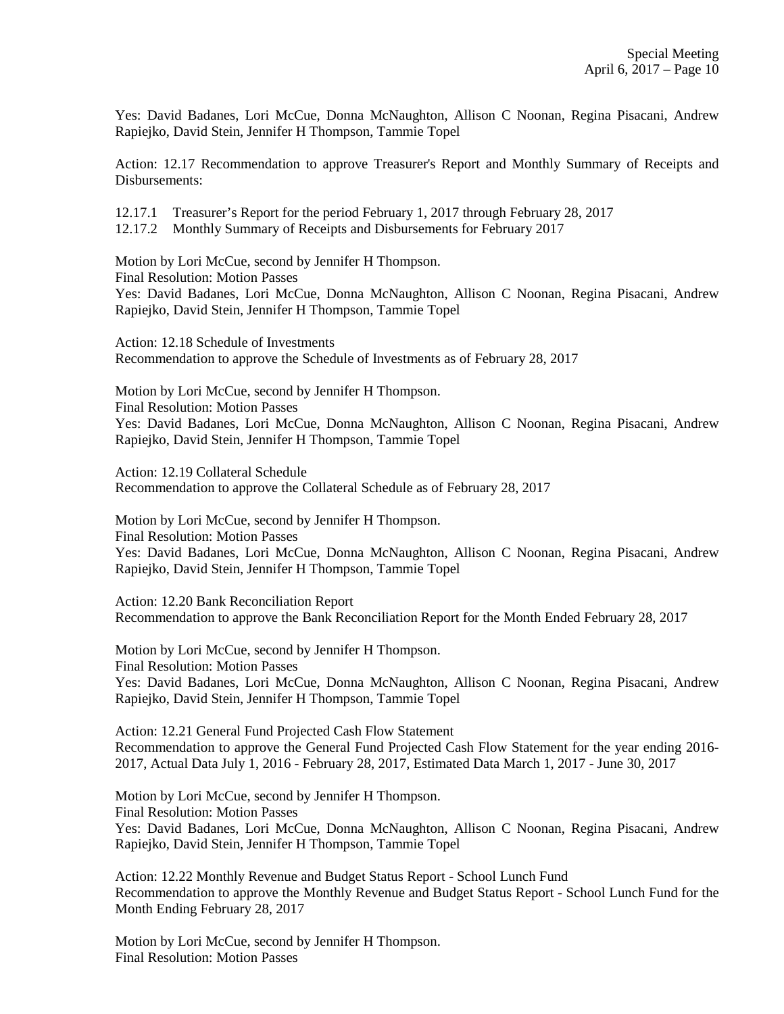Yes: David Badanes, Lori McCue, Donna McNaughton, Allison C Noonan, Regina Pisacani, Andrew Rapiejko, David Stein, Jennifer H Thompson, Tammie Topel

Action: 12.17 Recommendation to approve Treasurer's Report and Monthly Summary of Receipts and Disbursements:

12.17.1 Treasurer's Report for the period February 1, 2017 through February 28, 2017

12.17.2 Monthly Summary of Receipts and Disbursements for February 2017

Motion by Lori McCue, second by Jennifer H Thompson.

Final Resolution: Motion Passes

Yes: David Badanes, Lori McCue, Donna McNaughton, Allison C Noonan, Regina Pisacani, Andrew Rapiejko, David Stein, Jennifer H Thompson, Tammie Topel

Action: 12.18 Schedule of Investments Recommendation to approve the Schedule of Investments as of February 28, 2017

Motion by Lori McCue, second by Jennifer H Thompson. Final Resolution: Motion Passes Yes: David Badanes, Lori McCue, Donna McNaughton, Allison C Noonan, Regina Pisacani, Andrew Rapiejko, David Stein, Jennifer H Thompson, Tammie Topel

Action: 12.19 Collateral Schedule Recommendation to approve the Collateral Schedule as of February 28, 2017

Motion by Lori McCue, second by Jennifer H Thompson. Final Resolution: Motion Passes Yes: David Badanes, Lori McCue, Donna McNaughton, Allison C Noonan, Regina Pisacani, Andrew Rapiejko, David Stein, Jennifer H Thompson, Tammie Topel

Action: 12.20 Bank Reconciliation Report Recommendation to approve the Bank Reconciliation Report for the Month Ended February 28, 2017

Motion by Lori McCue, second by Jennifer H Thompson. Final Resolution: Motion Passes Yes: David Badanes, Lori McCue, Donna McNaughton, Allison C Noonan, Regina Pisacani, Andrew Rapiejko, David Stein, Jennifer H Thompson, Tammie Topel

Action: 12.21 General Fund Projected Cash Flow Statement Recommendation to approve the General Fund Projected Cash Flow Statement for the year ending 2016- 2017, Actual Data July 1, 2016 - February 28, 2017, Estimated Data March 1, 2017 - June 30, 2017

Motion by Lori McCue, second by Jennifer H Thompson. Final Resolution: Motion Passes Yes: David Badanes, Lori McCue, Donna McNaughton, Allison C Noonan, Regina Pisacani, Andrew Rapiejko, David Stein, Jennifer H Thompson, Tammie Topel

Action: 12.22 Monthly Revenue and Budget Status Report - School Lunch Fund Recommendation to approve the Monthly Revenue and Budget Status Report - School Lunch Fund for the Month Ending February 28, 2017

Motion by Lori McCue, second by Jennifer H Thompson. Final Resolution: Motion Passes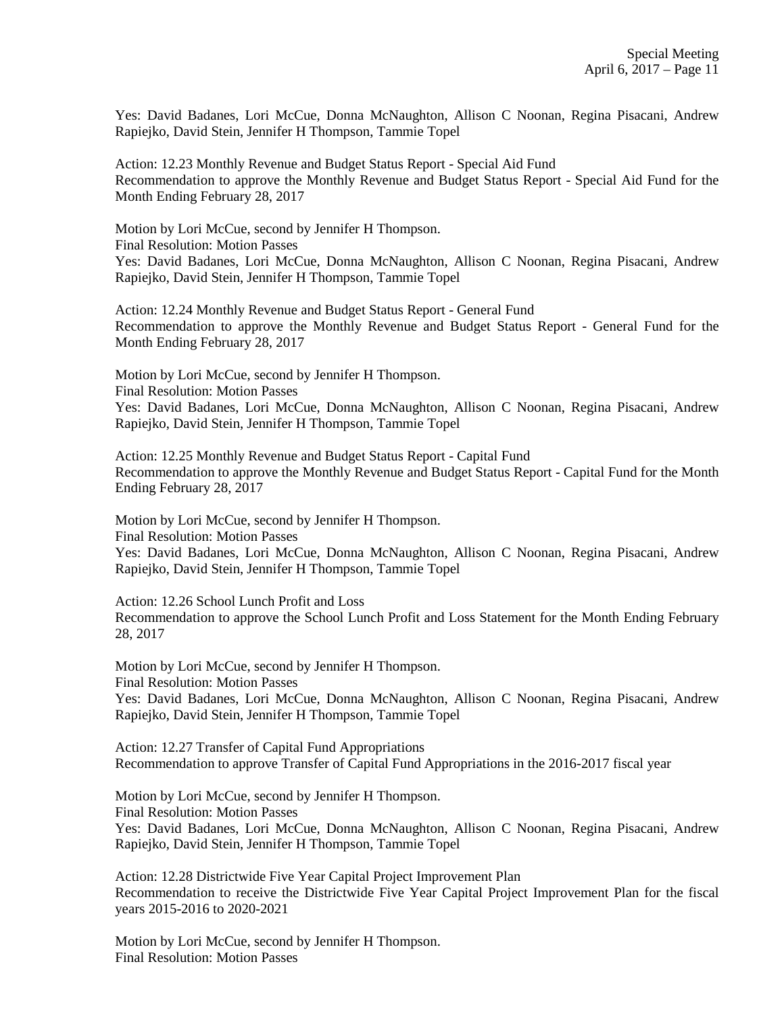Yes: David Badanes, Lori McCue, Donna McNaughton, Allison C Noonan, Regina Pisacani, Andrew Rapiejko, David Stein, Jennifer H Thompson, Tammie Topel

Action: 12.23 Monthly Revenue and Budget Status Report - Special Aid Fund Recommendation to approve the Monthly Revenue and Budget Status Report - Special Aid Fund for the Month Ending February 28, 2017

Motion by Lori McCue, second by Jennifer H Thompson. Final Resolution: Motion Passes Yes: David Badanes, Lori McCue, Donna McNaughton, Allison C Noonan, Regina Pisacani, Andrew Rapiejko, David Stein, Jennifer H Thompson, Tammie Topel

Action: 12.24 Monthly Revenue and Budget Status Report - General Fund Recommendation to approve the Monthly Revenue and Budget Status Report - General Fund for the Month Ending February 28, 2017

Motion by Lori McCue, second by Jennifer H Thompson. Final Resolution: Motion Passes Yes: David Badanes, Lori McCue, Donna McNaughton, Allison C Noonan, Regina Pisacani, Andrew Rapiejko, David Stein, Jennifer H Thompson, Tammie Topel

Action: 12.25 Monthly Revenue and Budget Status Report - Capital Fund Recommendation to approve the Monthly Revenue and Budget Status Report - Capital Fund for the Month Ending February 28, 2017

Motion by Lori McCue, second by Jennifer H Thompson. Final Resolution: Motion Passes Yes: David Badanes, Lori McCue, Donna McNaughton, Allison C Noonan, Regina Pisacani, Andrew Rapiejko, David Stein, Jennifer H Thompson, Tammie Topel

Action: 12.26 School Lunch Profit and Loss Recommendation to approve the School Lunch Profit and Loss Statement for the Month Ending February 28, 2017

Motion by Lori McCue, second by Jennifer H Thompson. Final Resolution: Motion Passes Yes: David Badanes, Lori McCue, Donna McNaughton, Allison C Noonan, Regina Pisacani, Andrew Rapiejko, David Stein, Jennifer H Thompson, Tammie Topel

Action: 12.27 Transfer of Capital Fund Appropriations Recommendation to approve Transfer of Capital Fund Appropriations in the 2016-2017 fiscal year

Motion by Lori McCue, second by Jennifer H Thompson. Final Resolution: Motion Passes Yes: David Badanes, Lori McCue, Donna McNaughton, Allison C Noonan, Regina Pisacani, Andrew Rapiejko, David Stein, Jennifer H Thompson, Tammie Topel

Action: 12.28 Districtwide Five Year Capital Project Improvement Plan Recommendation to receive the Districtwide Five Year Capital Project Improvement Plan for the fiscal years 2015-2016 to 2020-2021

Motion by Lori McCue, second by Jennifer H Thompson. Final Resolution: Motion Passes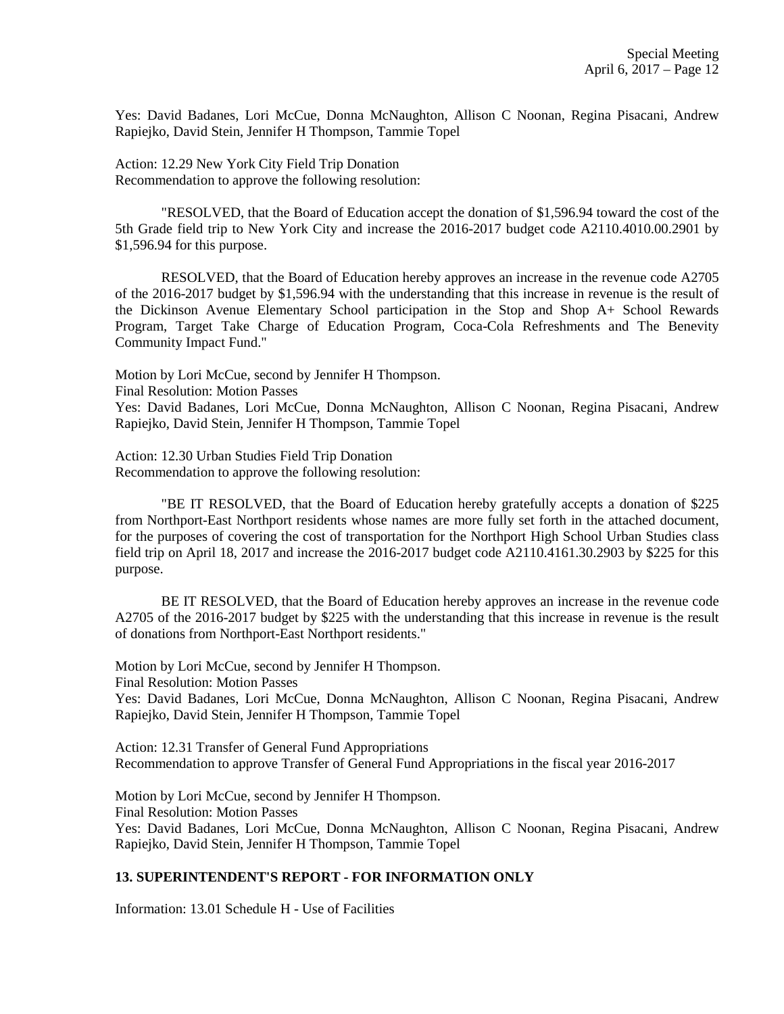Yes: David Badanes, Lori McCue, Donna McNaughton, Allison C Noonan, Regina Pisacani, Andrew Rapiejko, David Stein, Jennifer H Thompson, Tammie Topel

Action: 12.29 New York City Field Trip Donation Recommendation to approve the following resolution:

"RESOLVED, that the Board of Education accept the donation of \$1,596.94 toward the cost of the 5th Grade field trip to New York City and increase the 2016-2017 budget code A2110.4010.00.2901 by \$1,596.94 for this purpose.

RESOLVED, that the Board of Education hereby approves an increase in the revenue code A2705 of the 2016-2017 budget by \$1,596.94 with the understanding that this increase in revenue is the result of the Dickinson Avenue Elementary School participation in the Stop and Shop A+ School Rewards Program, Target Take Charge of Education Program, Coca-Cola Refreshments and The Benevity Community Impact Fund."

Motion by Lori McCue, second by Jennifer H Thompson.

Final Resolution: Motion Passes

Yes: David Badanes, Lori McCue, Donna McNaughton, Allison C Noonan, Regina Pisacani, Andrew Rapiejko, David Stein, Jennifer H Thompson, Tammie Topel

Action: 12.30 Urban Studies Field Trip Donation Recommendation to approve the following resolution:

"BE IT RESOLVED, that the Board of Education hereby gratefully accepts a donation of \$225 from Northport-East Northport residents whose names are more fully set forth in the attached document, for the purposes of covering the cost of transportation for the Northport High School Urban Studies class field trip on April 18, 2017 and increase the 2016-2017 budget code A2110.4161.30.2903 by \$225 for this purpose.

BE IT RESOLVED, that the Board of Education hereby approves an increase in the revenue code A2705 of the 2016-2017 budget by \$225 with the understanding that this increase in revenue is the result of donations from Northport-East Northport residents."

Motion by Lori McCue, second by Jennifer H Thompson.

Final Resolution: Motion Passes

Yes: David Badanes, Lori McCue, Donna McNaughton, Allison C Noonan, Regina Pisacani, Andrew Rapiejko, David Stein, Jennifer H Thompson, Tammie Topel

Action: 12.31 Transfer of General Fund Appropriations Recommendation to approve Transfer of General Fund Appropriations in the fiscal year 2016-2017

Motion by Lori McCue, second by Jennifer H Thompson. Final Resolution: Motion Passes Yes: David Badanes, Lori McCue, Donna McNaughton, Allison C Noonan, Regina Pisacani, Andrew Rapiejko, David Stein, Jennifer H Thompson, Tammie Topel

## **13. SUPERINTENDENT'S REPORT - FOR INFORMATION ONLY**

Information: 13.01 Schedule H - Use of Facilities